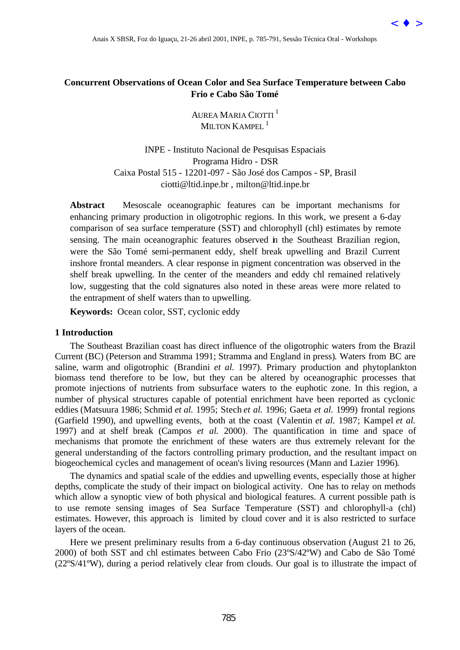

# **Concurrent Observations of Ocean Color and Sea Surface Temperature between Cabo Frio e Cabo São Tomé**

AUREA MARIA CIOTTI <sup>1</sup> MILTON  $K$  ampel  $^{-1}$ 

INPE - Instituto Nacional de Pesquisas Espaciais Programa Hidro - DSR Caixa Postal 515 - 12201-097 - São José dos Campos - SP, Brasil ciotti@ltid.inpe.br , milton@ltid.inpe.br

**Abstract** Mesoscale oceanographic features can be important mechanisms for enhancing primary production in oligotrophic regions. In this work, we present a 6-day comparison of sea surface temperature (SST) and chlorophyll (chl) estimates by remote sensing. The main oceanographic features observed in the Southeast Brazilian region, were the São Tomé semi-permanent eddy, shelf break upwelling and Brazil Current inshore frontal meanders. A clear response in pigment concentration was observed in the shelf break upwelling. In the center of the meanders and eddy chl remained relatively low, suggesting that the cold signatures also noted in these areas were more related to the entrapment of shelf waters than to upwelling.

**Keywords:** Ocean color, SST, cyclonic eddy

# **1 Introduction**

The Southeast Brazilian coast has direct influence of the oligotrophic waters from the Brazil Current (BC) (Peterson and Stramma 1991; Stramma and England in press). Waters from BC are saline, warm and oligotrophic (Brandini *et al.* 1997). Primary production and phytoplankton biomass tend therefore to be low, but they can be altered by oceanographic processes that promote injections of nutrients from subsurface waters to the euphotic zone. In this region, a number of physical structures capable of potential enrichment have been reported as cyclonic eddies (Matsuura 1986; Schmid *et al.* 1995; Stech *et al.* 1996; Gaeta *et al.* 1999) frontal regions (Garfield 1990), and upwelling events, both at the coast (Valentin *et al.* 1987; Kampel *et al.* 1997) and at shelf break (Campos *et al.* 2000). The quantification in time and space of mechanisms that promote the enrichment of these waters are thus extremely relevant for the general understanding of the factors controlling primary production, and the resultant impact on biogeochemical cycles and management of ocean's living resources (Mann and Lazier 1996). Assis X SBSR, For do Iguaçu, 21-26 abril 201, ISYE, 7.85-791, Sessão Técnica Oral - Workshops<br[>](goto-/dpi.inpe.br/lise/2001/09.19.12.21.56) **Trent Observations of Orean Color and Ses Surface Temperature between Cabo<br>
Frido C Cabo Sin Umus<br>
ANAIS Cava (Sequentilation** 

The dynamics and spatial scale of the eddies and upwelling events, especially those at higher depths, complicate the study of their impact on biological activity. One has to relay on methods which allow a synoptic view of both physical and biological features. A current possible path is to use remote sensing images of Sea Surface Temperature (SST) and chlorophyll-a (chl) estimates. However, this approach is limited by cloud cover and it is also restricted to surface layers of the ocean.

Here we present preliminary results from a 6-day continuous observation (August 21 to 26, 2000) of both SST and chl estimates between Cabo Frio (23ºS/42ºW) and Cabo de São Tomé (22ºS/41ºW), during a period relatively clear from clouds. Our goal is to illustrate the impact of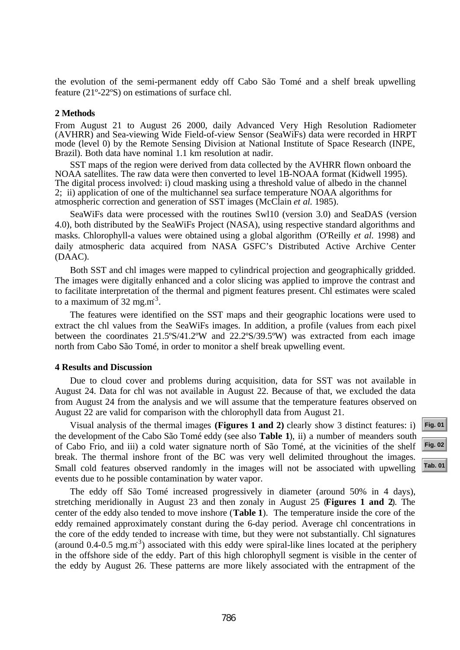the evolution of the semi-permanent eddy off Cabo São Tomé and a shelf break upwelling feature (21º-22ºS) on estimations of surface chl.

# **2 Methods**

From August 21 to August 26 2000, daily Advanced Very High Resolution Radiometer (AVHRR) and Sea-viewing Wide Field-of-view Sensor (SeaWiFs) data were recorded in HRPT mode (level 0) by the Remote Sensing Division at National Institute of Space Research (INPE, Brazil). Both data have nominal 1.1 km resolution at nadir.

SST maps of the region were derived from data collected by the AVHRR flown onboard the NOAA satellites. The raw data were then converted to level 1B-NOAA format (Kidwell 1995). The digital process involved: i) cloud masking using a threshold value of albedo in the channel 2; ii) application of one of the multichannel sea surface temperature NOAA algorithms for atmospheric correction and generation of SST images (McClain *et al.* 1985).

SeaWiFs data were processed with the routines Swl10 (version 3.0) and SeaDAS (version 4.0), both distributed by the SeaWiFs Project (NASA), using respective standard algorithms and masks. Chlorophyll-a values were obtained using a global algorithm (O'Reilly *et al.* 1998) and daily atmospheric data acquired from NASA GSFC's Distributed Active Archive Center (DAAC).

Both SST and chl images were mapped to cylindrical projection and geographically gridded. The images were digitally enhanced and a color slicing was applied to improve the contrast and to facilitate interpretation of the thermal and pigment features present. Chl estimates were scaled to a maximum of  $32 \text{ mg.m}^3$ .

The features were identified on the SST maps and their geographic locations were used to extract the chl values from the SeaWiFs images. In addition, a profile (values from each pixel between the coordinates 21.5ºS/41.2ºW and 22.2ºS/39.5ºW) was extracted from each image north from Cabo São Tomé, in order to monitor a shelf break upwelling event.

## **4 Results and Discussion**

Due to cloud cover and problems during acquisition, data for SST was not available in August 24. Data for chl was not available in August 22. Because of that, we excluded the data from August 24 from the analysis and we will assume that the temperature features observed on August 22 are valid for comparison with the chlorophyll data from August 21.

Visual analysis of the thermal images **(Figures 1 and 2)** clearly show 3 distinct features: i) the development of the Cabo São Tomé eddy (see also **Table 1**), ii) a number of meanders south of Cabo Frio, and iii) a cold water signature north of São Tomé, at the vicinities of the shelf break. The thermal inshore front of the BC was very well delimited throughout the images. Small cold features observed randomly in the images will not be associated with upwelling events due to he possible contamination by water vapor.

The eddy off São Tomé increased progressively in diameter (around 50% in 4 days), stretching meridionally in August 23 and then zonaly in August 25 (**Figures 1 and 2**). The center of the eddy also tended to move inshore (**Table 1**). The temperature inside the core of the eddy remained approximately constant during the 6-day period. Average chl concentrations in the core of the eddy tended to increase with time, but they were not substantially. Chl signatures (around 0.4-0.5 mg.m<sup>-3</sup>) associated with this eddy were spiral-like lines located at the periphery in the offshore side of the eddy. Part of this high chlorophyll segment is visible in the center of the eddy by August 26. These patterns are more likely associated with the entrapment of the

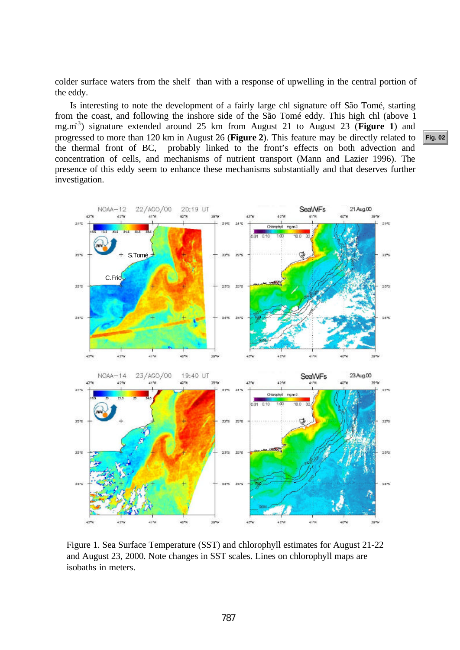<span id="page-2-0"></span>colder surface waters from the shelf than with a response of upwelling in the central portion of the eddy.

Is interesting to note the development of a fairly large chl signature off São Tomé, starting from the coast, and following the inshore side of the São Tomé eddy. This high chl (above 1 mg.m-3) signature extended around 25 km from August 21 to August 23 (**Figure 1**) and progressed to more than 120 km in August 26 (**Figure 2**). This feature may be directly related to the thermal front of BC, probably linked to the front's effects on both advection and concentration of cells, and mechanisms of nutrient transport (Mann and Lazier 1996). The presence of this eddy seem to enhance these mechanisms substantially and that deserves further investigation.



Figure 1. Sea Surface Temperature (SST) and chlorophyll estimates for August 21-22 and August 23, 2000. Note changes in SST scales. Lines on chlorophyll maps are isobaths in meters.

**[Fig. 02](#page-3-0)**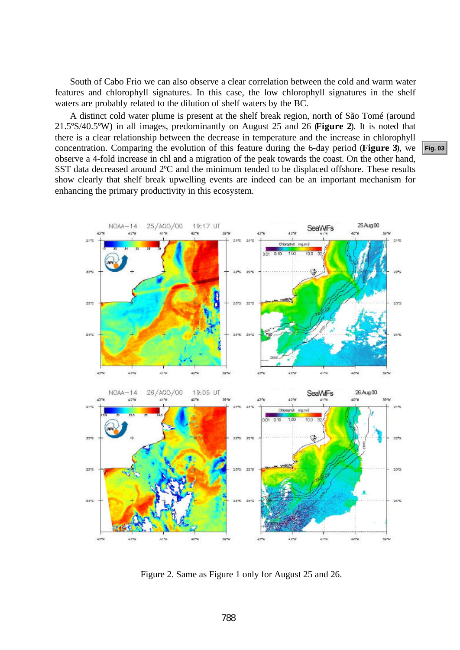<span id="page-3-0"></span>South of Cabo Frio we can also observe a clear correlation between the cold and warm water features and chlorophyll signatures. In this case, the low chlorophyll signatures in the shelf waters are probably related to the dilution of shelf waters by the BC.

A distinct cold water plume is present at the shelf break region, north of São Tomé (around 21.5ºS/40.5ºW) in all images, predominantly on August 25 and 26 (**Figure 2**). It is noted that there is a clear relationship between the decrease in temperature and the increase in chlorophyll concentration. Comparing the evolution of this feature during the 6-day period (**Figure 3**), we observe a 4-fold increase in chl and a migration of the peak towards the coast. On the other hand, SST data decreased around 2ºC and the minimum tended to be displaced offshore. These results show clearly that shelf break upwelling events are indeed can be an important mechanism for enhancing the primary productivity in this ecosystem.



Figure 2. Same as Figure 1 only for August 25 and 26.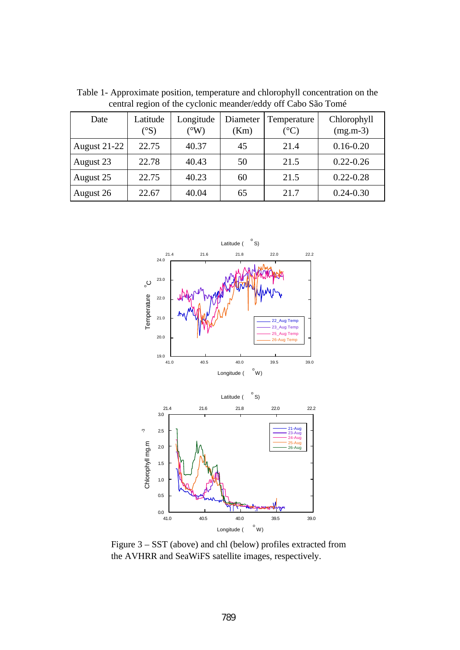| central region of the eyerome incanaci/catry on capo bao Tome |                          |                            |                  |                                |                           |
|---------------------------------------------------------------|--------------------------|----------------------------|------------------|--------------------------------|---------------------------|
| Date                                                          | Latitude<br>$(^\circ S)$ | Longitude<br>$\rm ^{(o}W)$ | Diameter<br>(Km) | Temperature<br>$({}^{\circ}C)$ | Chlorophyll<br>$(mg.m-3)$ |
| August $21-22$                                                | 22.75                    | 40.37                      | 45               | 21.4                           | $0.16 - 0.20$             |
| August 23                                                     | 22.78                    | 40.43                      | 50               | 21.5                           | $0.22 - 0.26$             |
| August 25                                                     | 22.75                    | 40.23                      | 60               | 21.5                           | $0.22 - 0.28$             |
| August 26                                                     | 22.67                    | 40.04                      | 65               | 21.7                           | $0.24 - 0.30$             |

<span id="page-4-0"></span>Table 1- Approximate position, temperature and chlorophyll concentration on the central region of the cyclonic meander/eddy off Cabo São Tomé



Figure 3 – SST (above) and chl (below) profiles extracted from the AVHRR and SeaWiFS satellite images, respectively.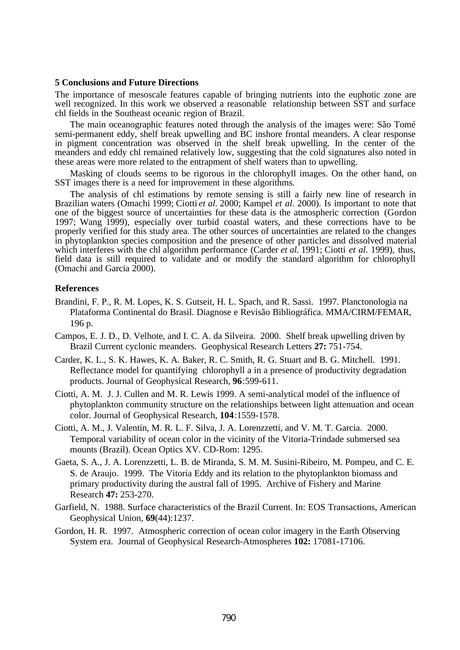### **5 Conclusions and Future Directions**

The importance of mesoscale features capable of bringing nutrients into the euphotic zone are well recognized. In this work we observed a reasonable relationship between SST and surface chl fields in the Southeast oceanic region of Brazil.

The main oceanographic features noted through the analysis of the images were: São Tomé semi-permanent eddy, shelf break upwelling and BC inshore frontal meanders. A clear response in pigment concentration was observed in the shelf break upwelling. In the center of the meanders and eddy chl remained relatively low, suggesting that the cold signatures also noted in these areas were more related to the entrapment of shelf waters than to upwelling.

Masking of clouds seems to be rigorous in the chlorophyll images. On the other hand, on SST images there is a need for improvement in these algorithms.

The analysis of chl estimations by remote sensing is still a fairly new line of research in Brazilian waters (Omachi 1999; Ciotti *et al.* 2000; Kampel *et al*. 2000). Is important to note that one of the biggest source of uncertainties for these data is the atmospheric correction (Gordon 1997; Wang 1999), especially over turbid coastal waters, and these corrections have to be properly verified for this study area. The other sources of uncertainties are related to the changes in phytoplankton species composition and the presence of other particles and dissolved material which interferes with the chl algorithm performance (Carder *et al.* 1991; Ciotti *et al.* 1999), thus, field data is still required to validate and or modify the standard algorithm for chlorophyll (Omachi and Garcia 2000).

### **References**

- Brandini, F. P., R. M. Lopes, K. S. Gutseit, H. L. Spach, and R. Sassi. 1997. Planctonologia na Plataforma Continental do Brasil. Diagnose e Revisão Bibliográfica. MMA/CIRM/FEMAR, 196 p.
- Campos, E. J. D., D. Velhote, and I. C. A. da Silveira. 2000. Shelf break upwelling driven by Brazil Current cyclonic meanders. Geophysical Research Letters **27:** 751-754.
- Carder, K. L., S. K. Hawes, K. A. Baker, R. C. Smith, R. G. Stuart and B. G. Mitchell. 1991. Reflectance model for quantifying chlorophyll a in a presence of productivity degradation products. Journal of Geophysical Research, **96**:599-611.
- Ciotti, A. M. J. J. Cullen and M. R. Lewis 1999. A semi-analytical model of the influence of phytoplankton community structure on the relationships between light attenuation and ocean color. Journal of Geophysical Research, **104**:1559-1578.
- Ciotti, A. M., J. Valentin, M. R. L. F. Silva, J. A. Lorenzzetti, and V. M. T. Garcia. 2000. Temporal variability of ocean color in the vicinity of the Vitoria-Trindade submersed sea mounts (Brazil). Ocean Optics XV. CD-Rom: 1295.
- Gaeta, S. A., J. A. Lorenzzetti, L. B. de Miranda, S. M. M. Susini-Ribeiro, M. Pompeu, and C. E. S. de Araujo. 1999. The Vitoria Eddy and its relation to the phytoplankton biomass and primary productivity during the austral fall of 1995. Archive of Fishery and Marine Research **47:** 253-270.
- Garfield, N. 1988. Surface characteristics of the Brazil Current. In: EOS Transactions, American Geophysical Union, **69**(44):1237.
- Gordon, H. R. 1997. Atmospheric correction of ocean color imagery in the Earth Observing System era. Journal of Geophysical Research-Atmospheres **102:** 17081-17106.